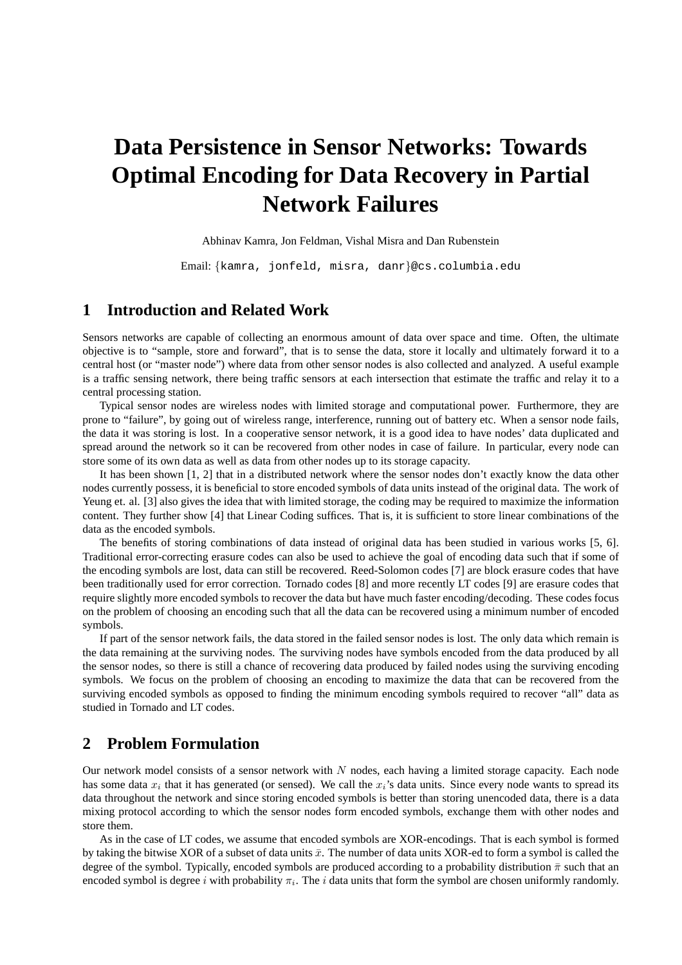# **Data Persistence in Sensor Networks: Towards Optimal Encoding for Data Recovery in Partial Network Failures**

#### Abhinav Kamra, Jon Feldman, Vishal Misra and Dan Rubenstein

Email: {kamra, jonfeld, misra, danr}@cs.columbia.edu

# **1 Introduction and Related Work**

Sensors networks are capable of collecting an enormous amount of data over space and time. Often, the ultimate objective is to "sample, store and forward", that is to sense the data, store it locally and ultimately forward it to a central host (or "master node") where data from other sensor nodes is also collected and analyzed. A useful example is a traffic sensing network, there being traffic sensors at each intersection that estimate the traffic and relay it to a central processing station.

Typical sensor nodes are wireless nodes with limited storage and computational power. Furthermore, they are prone to "failure", by going out of wireless range, interference, running out of battery etc. When a sensor node fails, the data it was storing is lost. In a cooperative sensor network, it is a good idea to have nodes' data duplicated and spread around the network so it can be recovered from other nodes in case of failure. In particular, every node can store some of its own data as well as data from other nodes up to its storage capacity.

It has been shown [1, 2] that in a distributed network where the sensor nodes don't exactly know the data other nodes currently possess, it is beneficial to store encoded symbols of data units instead of the original data. The work of Yeung et. al. [3] also gives the idea that with limited storage, the coding may be required to maximize the information content. They further show [4] that Linear Coding suffices. That is, it is sufficient to store linear combinations of the data as the encoded symbols.

The benefits of storing combinations of data instead of original data has been studied in various works [5, 6]. Traditional error-correcting erasure codes can also be used to achieve the goal of encoding data such that if some of the encoding symbols are lost, data can still be recovered. Reed-Solomon codes [7] are block erasure codes that have been traditionally used for error correction. Tornado codes [8] and more recently LT codes [9] are erasure codes that require slightly more encoded symbols to recover the data but have much faster encoding/decoding. These codes focus on the problem of choosing an encoding such that all the data can be recovered using a minimum number of encoded symbols.

If part of the sensor network fails, the data stored in the failed sensor nodes is lost. The only data which remain is the data remaining at the surviving nodes. The surviving nodes have symbols encoded from the data produced by all the sensor nodes, so there is still a chance of recovering data produced by failed nodes using the surviving encoding symbols. We focus on the problem of choosing an encoding to maximize the data that can be recovered from the surviving encoded symbols as opposed to finding the minimum encoding symbols required to recover "all" data as studied in Tornado and LT codes.

## **2 Problem Formulation**

Our network model consists of a sensor network with  $N$  nodes, each having a limited storage capacity. Each node has some data  $x_i$  that it has generated (or sensed). We call the  $x_i$ 's data units. Since every node wants to spread its data throughout the network and since storing encoded symbols is better than storing unencoded data, there is a data mixing protocol according to which the sensor nodes form encoded symbols, exchange them with other nodes and store them.

As in the case of LT codes, we assume that encoded symbols are XOR-encodings. That is each symbol is formed by taking the bitwise XOR of a subset of data units  $\bar{x}$ . The number of data units XOR-ed to form a symbol is called the degree of the symbol. Typically, encoded symbols are produced according to a probability distribution  $\bar{\pi}$  such that an encoded symbol is degree i with probability  $\pi_i$ . The i data units that form the symbol are chosen uniformly randomly.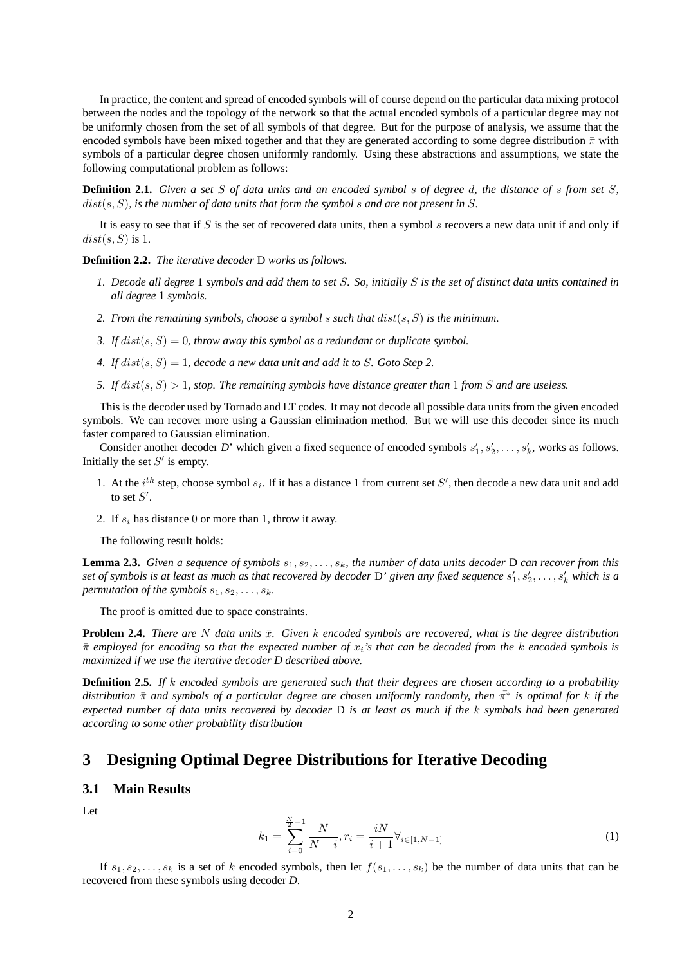In practice, the content and spread of encoded symbols will of course depend on the particular data mixing protocol between the nodes and the topology of the network so that the actual encoded symbols of a particular degree may not be uniformly chosen from the set of all symbols of that degree. But for the purpose of analysis, we assume that the encoded symbols have been mixed together and that they are generated according to some degree distribution  $\bar{\pi}$  with symbols of a particular degree chosen uniformly randomly. Using these abstractions and assumptions, we state the following computational problem as follows:

**Definition 2.1.** *Given a set* S *of data units and an encoded symbol* s *of degree* d*, the distance of* s *from set* S*,* dist(s, S)*, is the number of data units that form the symbol* s *and are not present in* S*.*

It is easy to see that if S is the set of recovered data units, then a symbol s recovers a new data unit if and only if  $dist(s, S)$  is 1.

**Definition 2.2.** *The iterative decoder* D *works as follows.*

- *1. Decode all degree* 1 *symbols and add them to set* S*. So, initially* S *is the set of distinct data units contained in all degree* 1 *symbols.*
- *2. From the remaining symbols, choose a symbol* s *such that* dist(s, S) *is the minimum.*
- *3.* If  $dist(s, S) = 0$ , throw away this symbol as a redundant or duplicate symbol.
- *4. If*  $dist(s, S) = 1$ *, decode a new data unit and add it to S. Goto Step 2.*
- 5. If  $dist(s, S) > 1$ , stop. The remaining symbols have distance greater than 1 from S and are useless.

This is the decoder used by Tornado and LT codes. It may not decode all possible data units from the given encoded symbols. We can recover more using a Gaussian elimination method. But we will use this decoder since its much faster compared to Gaussian elimination.

Consider another decoder *D*' which given a fixed sequence of encoded symbols  $s'_1, s'_2, \ldots, s'_k$ , works as follows. Initially the set  $S'$  is empty.

- 1. At the  $i^{th}$  step, choose symbol  $s_i$ . If it has a distance 1 from current set S', then decode a new data unit and add to set  $S'$ .
- 2. If  $s_i$  has distance 0 or more than 1, throw it away.

The following result holds:

**Lemma 2.3.** *Given a sequence of symbols*  $s_1, s_2, \ldots, s_k$ *, the number of data units decoder* D *can recover from this* set of symbols is at least as much as that recovered by decoder  $D'$  given any fixed sequence  $s_1',s_2',\ldots,s_k'$  which is a *permutation of the symbols*  $s_1, s_2, \ldots, s_k$ .

The proof is omitted due to space constraints.

**Problem 2.4.** *There are* N *data units*  $\bar{x}$ *. Given* k *encoded symbols are recovered, what is the degree distribution* π¯ *employed for encoding so that the expected number of* xi*'s that can be decoded from the* k *encoded symbols is maximized if we use the iterative decoder D described above.*

**Definition 2.5.** *If* k *encoded symbols are generated such that their degrees are chosen according to a probability distribution*  $\pi$  *and symbols of a particular degree are chosen uniformly randomly, then* π<sup>∗</sup> *is optimal for* k *if the expected number of data units recovered by decoder* D *is at least as much if the* k *symbols had been generated according to some other probability distribution*

# **3 Designing Optimal Degree Distributions for Iterative Decoding**

### **3.1 Main Results**

Let

$$
k_1 = \sum_{i=0}^{\frac{N}{2}-1} \frac{N}{N-i}, r_i = \frac{iN}{i+1} \forall_{i \in [1, N-1]}
$$
\n(1)

If  $s_1, s_2, \ldots, s_k$  is a set of k encoded symbols, then let  $f(s_1, \ldots, s_k)$  be the number of data units that can be recovered from these symbols using decoder *D*.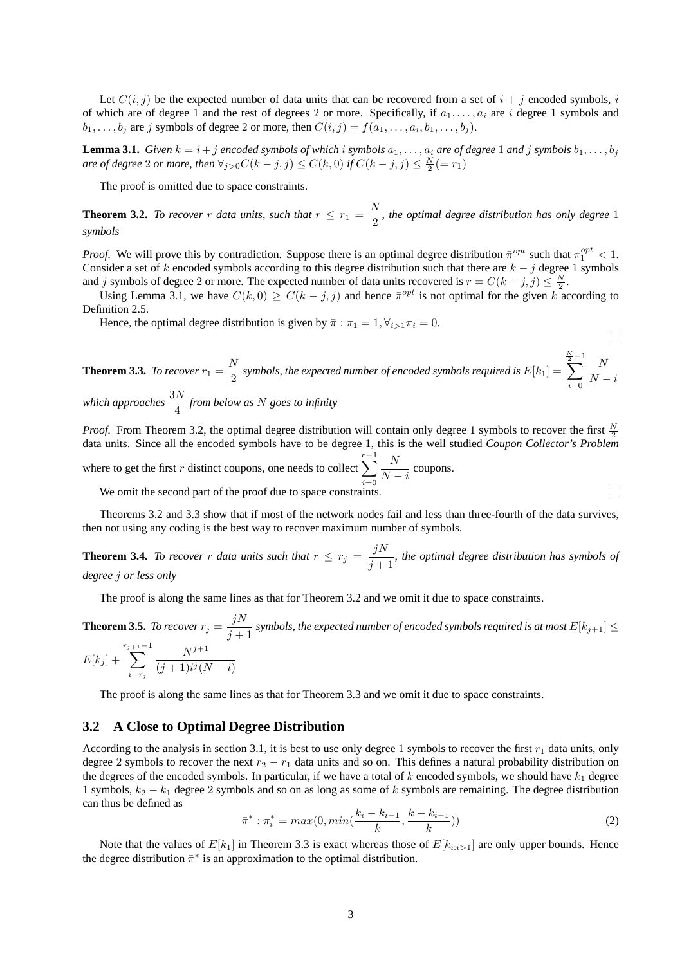Let  $C(i, j)$  be the expected number of data units that can be recovered from a set of  $i + j$  encoded symbols, i of which are of degree 1 and the rest of degrees 2 or more. Specifically, if  $a_1, \ldots, a_i$  are i degree 1 symbols and  $b_1, \ldots, b_j$  are j symbols of degree 2 or more, then  $C(i, j) = f(a_1, \ldots, a_i, b_1, \ldots, b_j)$ .

**Lemma 3.1.** *Given*  $k = i + j$  *encoded symbols of which* i *symbols*  $a_1, \ldots, a_i$  *are of degree* 1 *and* j *symbols*  $b_1, \ldots, b_j$ *are of degree* 2 *or more, then*  $\forall_{j>0} C(k-j, j) \leq C(k, 0)$  *if*  $C(k-j, j) \leq \frac{N}{2} (= r_1)$ 

The proof is omitted due to space constraints.

**Theorem 3.2.** *To recover* r *data units, such that*  $r \leq r_1 = \frac{N}{2}$  $\frac{1}{2}$ , the optimal degree distribution has only degree 1 *symbols*

*Proof.* We will prove this by contradiction. Suppose there is an optimal degree distribution  $\bar{\pi}^{opt}$  such that  $\pi_1^{opt} < 1$ . Consider a set of k encoded symbols according to this degree distribution such that there are  $k - j$  degree 1 symbols and j symbols of degree 2 or more. The expected number of data units recovered is  $r = C(k - j, j) \leq \frac{N}{2}$ .

Using Lemma 3.1, we have  $C(k, 0) \geq C(k - j, j)$  and hence  $\bar{\pi}^{opt}$  is not optimal for the given k according to Definition 2.5.

Hence, the optimal degree distribution is given by  $\bar{\pi}$ :  $\pi_1 = 1, \forall_{i>1} \pi_i = 0$ .

**Theorem 3.3.** To recover 
$$
r_1 = \frac{N}{2}
$$
 symbols, the expected number of encoded symbols required is  $E[k_1] = \sum_{i=0}^{\frac{N}{2}-1} \frac{N}{N-i}$   
which approaches  $\frac{3N}{4}$  from below as N goes to infinity

*Proof.* From Theorem 3.2, the optimal degree distribution will contain only degree 1 symbols to recover the first  $\frac{N}{2}$ data units. Since all the encoded symbols have to be degree 1, this is the well studied *Coupon Collector's Problem*

where to get the first r distinct coupons, one needs to collect  $\sum_{n=1}^{r-1}$  $i=0$ N  $\frac{1}{N-i}$  coupons.

We omit the second part of the proof due to space constraints.

Theorems 3.2 and 3.3 show that if most of the network nodes fail and less than three-fourth of the data survives, then not using any coding is the best way to recover maximum number of symbols.

**Theorem 3.4.** *To recover* r *data units such that*  $r \leq r_j = \frac{jN}{N}$  $\frac{J^{2}}{J+1}$ , the optimal degree distribution has symbols of *degree* j *or less only*

The proof is along the same lines as that for Theorem 3.2 and we omit it due to space constraints.

**Theorem 3.5.** *To recover*  $r_j = \frac{jN}{j+1}$  $\frac{J^{1}}{j+1}$  symbols, the expected number of encoded symbols required is at most  $E[k_{j+1}] \leq$  $E[k_j] +$  $r_{j+1}-1$  $i=r_j$  $N^{j+1}$  $(j + 1)i<sup>j</sup>(N - i)$ 

The proof is along the same lines as that for Theorem 3.3 and we omit it due to space constraints.

#### **3.2 A Close to Optimal Degree Distribution**

According to the analysis in section 3.1, it is best to use only degree 1 symbols to recover the first  $r_1$  data units, only degree 2 symbols to recover the next  $r_2 - r_1$  data units and so on. This defines a natural probability distribution on the degrees of the encoded symbols. In particular, if we have a total of  $k$  encoded symbols, we should have  $k_1$  degree 1 symbols,  $k_2 - k_1$  degree 2 symbols and so on as long as some of k symbols are remaining. The degree distribution can thus be defined as

$$
\bar{\pi}^* : \pi_i^* = \max(0, \min(\frac{k_i - k_{i-1}}{k}, \frac{k - k_{i-1}}{k}))
$$
\n(2)

Note that the values of  $E[k_1]$  in Theorem 3.3 is exact whereas those of  $E[k_{i:i}>1]$  are only upper bounds. Hence the degree distribution  $\bar{\pi}^*$  is an approximation to the optimal distribution.

 $\Box$